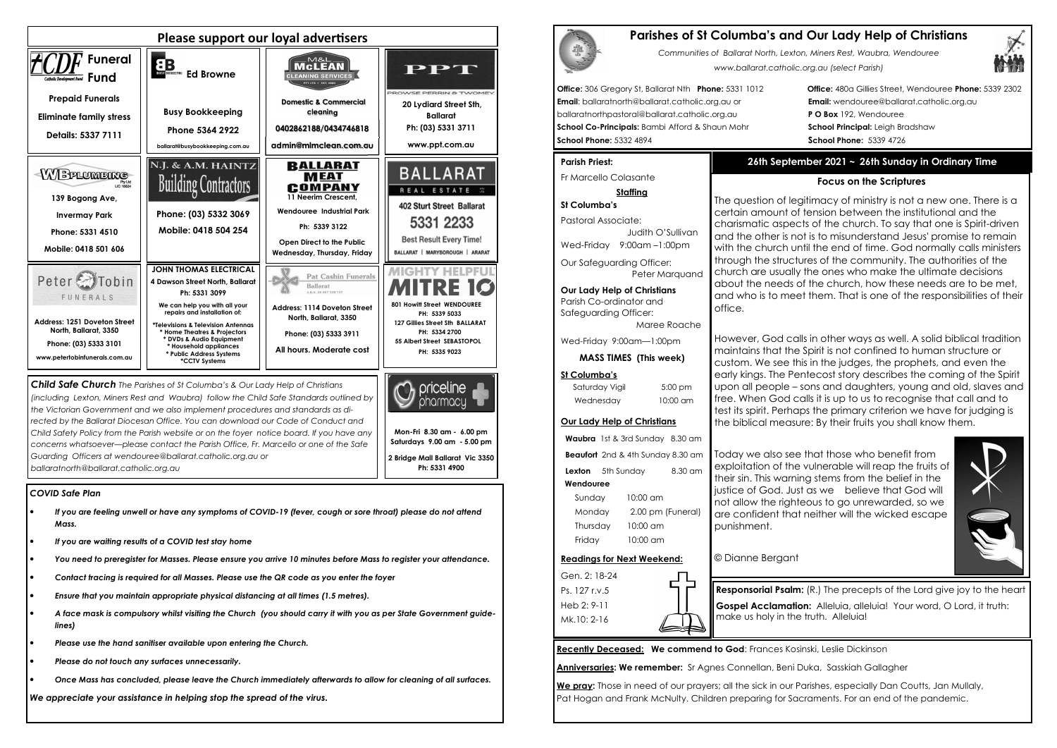## *COVID Safe Plan*

- *If you are feeling unwell or have any symptoms of COVID-19 (fever, cough or sore throat) please do not attend Mass.*
- *If you are waiting results of a COVID test stay home*
- *You need to preregister for Masses. Please ensure you arrive 10 minutes before Mass to register your attendance.*
- *Contact tracing is required for all Masses. Please use the QR code as you enter the foyer*
- *Ensure that you maintain appropriate physical distancing at all times (1.5 metres).*
- *A face mask is compulsory whilst visiting the Church (you should carry it with you as per State Government guidelines)*
- *Please use the hand sanitiser available upon entering the Church.*
- *Please do not touch any surfaces unnecessarily.*
- *Once Mass has concluded, please leave the Church immediately afterwards to allow for cleaning of all surfaces.*



*We appreciate your assistance in helping stop the spread of the virus.*

| <b>Parishes of St Co</b> |
|--------------------------|
| Communities of           |
|                          |

*(including Lexton, Miners Rest and Waubra) follow the Child Safe Standards outlined by the Victorian Government and we also implement procedures and standards as directed by the Ballarat Diocesan Office. You can download our Code of Conduct and Child Safety Policy from the Parish website or on the foyer notice board. If you have any concerns whatsoever—please contact the Parish Office, Fr. Marcello or one of the Safe Guarding Officers at wendouree@ballarat.catholic.org.au or ballaratnorth@ballarat.catholic.org.au* 

Saturday Vigil 5:00 pm Wednesday 10:00 am

**Mon-Fri 8.30 am - 6.00 pm Saturdays 9.00 am - 5.00 pm 2 Bridge Mall Ballarat Vic 3350 Ph: 5331 4900** 

pharmacu

# **Parishes of St Columba's and Our Lady Help of Christians**



*Communities of Ballarat North, Lexton, Miners Rest, Waubra, Wendouree www.ballarat.catholic.org.au (select Parish)* 

**Office:** 306 Gregory St, Ballarat Nth **Phone:** 5331 1012 **Office:** 480a Gillies Street, Wendouree **Phone:** 5339 2302

**Email**: ballaratnorth@ballarat.catholic.org.au or **Email:** wendouree@ballarat.catholic.org.au ballaratnorthpastoral@ballarat.catholic.org.au **P O Box** 192, Wendouree **School Co-Principals:** Bambi Afford & Shaun Mohr **School Principal:** Leigh Bradshaw **School Phone:** 5332 4894 **School Phone:** 5339 4726

## **Parish Priest:**

Fr Marcello Colasante

## **Staffing**

**St Columba's** Pastoral Associate: Judith O'SullivanWed-Friday 9:00am –1:00pm

Our Safeguarding Officer: Peter Marquand

**Our Lady Help of Christians**Parish Co-ordinator and Safeguarding Officer:

Maree Roache

Wed-Friday 9:00am—1:00pm

**MASS TIMES (This week)**

### **St Columba's**

# **Our Lady Help of Christians**

**Waubra** 1st & 3rd Sunday 8.30 am **Beaufort** 2nd & 4th Sunday 8.30 am **Lexton** 5th Sunday 8.30 am  **Wendouree** Sunday 10:00 am Monday 2.00 pm (Funeral)

 Thursday 10:00 am Friday 10:00 am

## **Readings for Next Weekend:**

Gen. 2: 18-24 Ps. 127 r.v.5 Heb 2: 9-11 Mk.10: 2-16

**Recently Deceased: We commend to God**: Frances Kosinski, Leslie Dickinson

**Anniversaries: We remember:** Sr Agnes Connellan, Beni Duka, Sasskiah Gallagher

**We pray:** Those in need of our prayers; all the sick in our Parishes, especially Dan Coutts, Jan Mullaly, Pat Hogan and Frank McNulty. Children preparing for Sacraments. For an end of the pandemic.

# **26th September 2021 ~ 26th Sunday in Ordinary Time**

## **Focus on the Scriptures**

The question of legitimacy of ministry is not a new one. There is a certain amount of tension between the institutional and the charismatic aspects of the church. To say that one is Spirit-driven and the other is not is to misunderstand Jesus' promise to remain with the church until the end of time. God normally calls ministers through the structures of the community. The authorities of the church are usually the ones who make the ultimate decisions about the needs of the church, how these needs are to be met, and who is to meet them. That is one of the responsibilities of their office.

However, God calls in other ways as well. A solid biblical tradition maintains that the Spirit is not confined to human structure or custom. We see this in the judges, the prophets, and even the early kings. The Pentecost story describes the coming of the Spirit upon all people – sons and daughters, young and old, slaves and free. When God calls it is up to us to recognise that call and to test its spirit. Perhaps the primary criterion we have for judging is the biblical measure: By their fruits you shall know them.

Today we also see that those who benefit from exploitation of the vulnerable will reap the fruits of their sin. This warning stems from the belief in the justice of God. Just as we believe that God will not allow the righteous to go unrewarded, so we are confident that neither will the wicked escape



punishment.

© Dianne Bergant

**Responsorial Psalm:** (R.) The precepts of the Lord give joy to the heart **Gospel Acclamation:** Alleluia, alleluia! Your word, O Lord, it truth: